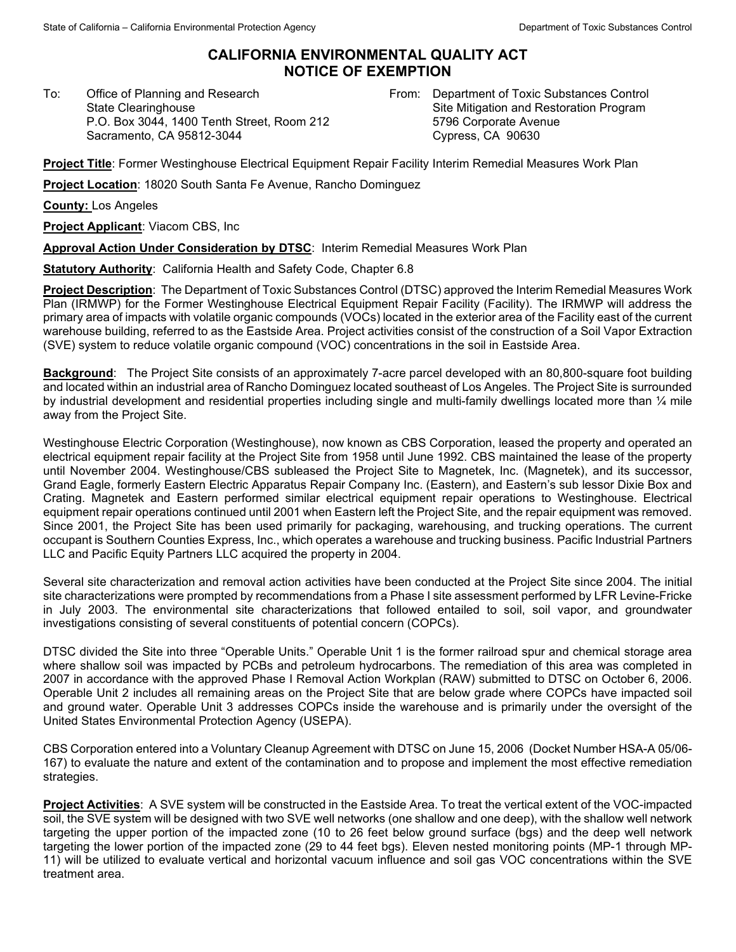## **CALIFORNIA ENVIRONMENTAL QUALITY ACT NOTICE OF EXEMPTION**

To: Office of Planning and Research State Clearinghouse P.O. Box 3044, 1400 Tenth Street, Room 212 Sacramento, CA 95812-3044

From: Department of Toxic Substances Control Site Mitigation and Restoration Program 5796 Corporate Avenue Cypress, CA 90630

**Project Title**: Former Westinghouse Electrical Equipment Repair Facility Interim Remedial Measures Work Plan

**Project Location**: 18020 South Santa Fe Avenue, Rancho Dominguez

**County:** Los Angeles

**Project Applicant**: Viacom CBS, Inc

**Approval Action Under Consideration by DTSC**: Interim Remedial Measures Work Plan

**Statutory Authority**: California Health and Safety Code, Chapter 6.8

**Project Description**: The Department of Toxic Substances Control (DTSC) approved the Interim Remedial Measures Work Plan (IRMWP) for the Former Westinghouse Electrical Equipment Repair Facility (Facility). The IRMWP will address the primary area of impacts with volatile organic compounds (VOCs) located in the exterior area of the Facility east of the current warehouse building, referred to as the Eastside Area. Project activities consist of the construction of a Soil Vapor Extraction (SVE) system to reduce volatile organic compound (VOC) concentrations in the soil in Eastside Area.

**Background**: The Project Site consists of an approximately 7-acre parcel developed with an 80,800-square foot building and located within an industrial area of Rancho Dominguez located southeast of Los Angeles. The Project Site is surrounded by industrial development and residential properties including single and multi-family dwellings located more than ¼ mile away from the Project Site.

Westinghouse Electric Corporation (Westinghouse), now known as CBS Corporation, leased the property and operated an electrical equipment repair facility at the Project Site from 1958 until June 1992. CBS maintained the lease of the property until November 2004. Westinghouse/CBS subleased the Project Site to Magnetek, Inc. (Magnetek), and its successor, Grand Eagle, formerly Eastern Electric Apparatus Repair Company Inc. (Eastern), and Eastern's sub lessor Dixie Box and Crating. Magnetek and Eastern performed similar electrical equipment repair operations to Westinghouse. Electrical equipment repair operations continued until 2001 when Eastern left the Project Site, and the repair equipment was removed. Since 2001, the Project Site has been used primarily for packaging, warehousing, and trucking operations. The current occupant is Southern Counties Express, Inc., which operates a warehouse and trucking business. Pacific Industrial Partners LLC and Pacific Equity Partners LLC acquired the property in 2004.

Several site characterization and removal action activities have been conducted at the Project Site since 2004. The initial site characterizations were prompted by recommendations from a Phase I site assessment performed by LFR Levine-Fricke in July 2003. The environmental site characterizations that followed entailed to soil, soil vapor, and groundwater investigations consisting of several constituents of potential concern (COPCs).

DTSC divided the Site into three "Operable Units." Operable Unit 1 is the former railroad spur and chemical storage area where shallow soil was impacted by PCBs and petroleum hydrocarbons. The remediation of this area was completed in 2007 in accordance with the approved Phase I Removal Action Workplan (RAW) submitted to DTSC on October 6, 2006. Operable Unit 2 includes all remaining areas on the Project Site that are below grade where COPCs have impacted soil and ground water. Operable Unit 3 addresses COPCs inside the warehouse and is primarily under the oversight of the United States Environmental Protection Agency (USEPA).

CBS Corporation entered into a Voluntary Cleanup Agreement with DTSC on June 15, 2006 (Docket Number HSA-A 05/06- 167) to evaluate the nature and extent of the contamination and to propose and implement the most effective remediation strategies.

**Project Activities**: A SVE system will be constructed in the Eastside Area. To treat the vertical extent of the VOC-impacted soil, the SVE system will be designed with two SVE well networks (one shallow and one deep), with the shallow well network targeting the upper portion of the impacted zone (10 to 26 feet below ground surface (bgs) and the deep well network targeting the lower portion of the impacted zone (29 to 44 feet bgs). Eleven nested monitoring points (MP-1 through MP-11) will be utilized to evaluate vertical and horizontal vacuum influence and soil gas VOC concentrations within the SVE treatment area.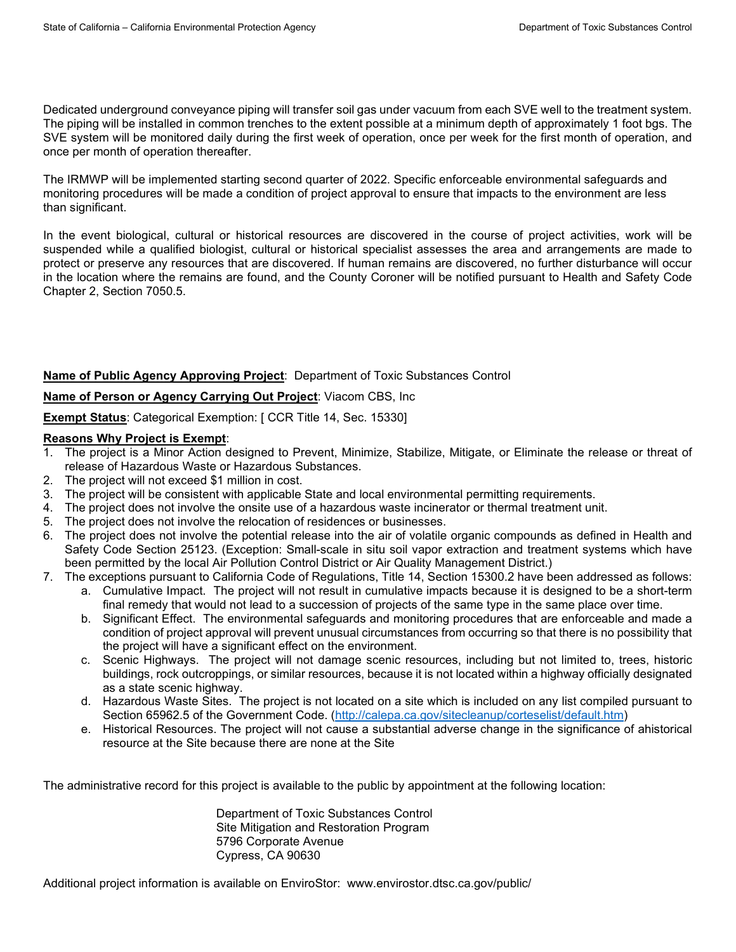Dedicated underground conveyance piping will transfer soil gas under vacuum from each SVE well to the treatment system. The piping will be installed in common trenches to the extent possible at a minimum depth of approximately 1 foot bgs. The SVE system will be monitored daily during the first week of operation, once per week for the first month of operation, and once per month of operation thereafter.

The IRMWP will be implemented starting second quarter of 2022. Specific enforceable environmental safeguards and monitoring procedures will be made a condition of project approval to ensure that impacts to the environment are less than significant.

In the event biological, cultural or historical resources are discovered in the course of project activities, work will be suspended while a qualified biologist, cultural or historical specialist assesses the area and arrangements are made to protect or preserve any resources that are discovered. If human remains are discovered, no further disturbance will occur in the location where the remains are found, and the County Coroner will be notified pursuant to Health and Safety Code Chapter 2, Section 7050.5.

**Name of Public Agency Approving Project**: Department of Toxic Substances Control

## **Name of Person or Agency Carrying Out Project**: Viacom CBS, Inc

**Exempt Status**: Categorical Exemption: [ CCR Title 14, Sec. 15330]

## **Reasons Why Project is Exempt**:

- 1. The project is a Minor Action designed to Prevent, Minimize, Stabilize, Mitigate, or Eliminate the release or threat of release of Hazardous Waste or Hazardous Substances.
- 2. The project will not exceed \$1 million in cost.
- 3. The project will be consistent with applicable State and local environmental permitting requirements.
- 4. The project does not involve the onsite use of a hazardous waste incinerator or thermal treatment unit.
- 5. The project does not involve the relocation of residences or businesses.
- 6. The project does not involve the potential release into the air of volatile organic compounds as defined in Health and Safety Code Section 25123. (Exception: Small-scale in situ soil vapor extraction and treatment systems which have been permitted by the local Air Pollution Control District or Air Quality Management District.)
- 7. The exceptions pursuant to California Code of Regulations, Title 14, Section 15300.2 have been addressed as follows:
	- a. Cumulative Impact. The project will not result in cumulative impacts because it is designed to be a short-term final remedy that would not lead to a succession of projects of the same type in the same place over time.
	- b. Significant Effect. The environmental safeguards and monitoring procedures that are enforceable and made a condition of project approval will prevent unusual circumstances from occurring so that there is no possibility that the project will have a significant effect on the environment.
	- c. Scenic Highways. The project will not damage scenic resources, including but not limited to, trees, historic buildings, rock outcroppings, or similar resources, because it is not located within a highway officially designated as a state scenic highway.
	- d. Hazardous Waste Sites. The project is not located on a site which is included on any list compiled pursuant to Section 65962.5 of the Government Code. [\(http://calepa.ca.gov/sitecleanup/corteselist/default.htm\)](http://calepa.ca.gov/sitecleanup/corteselist/default.htm)
	- e. Historical Resources. The project will not cause a substantial adverse change in the significance of ahistorical resource at the Site because there are none at the Site

The administrative record for this project is available to the public by appointment at the following location:

Department of Toxic Substances Control Site Mitigation and Restoration Program 5796 Corporate Avenue Cypress, CA 90630

Additional project information is available on EnviroStor: www.envirostor.dtsc.ca.gov/public/